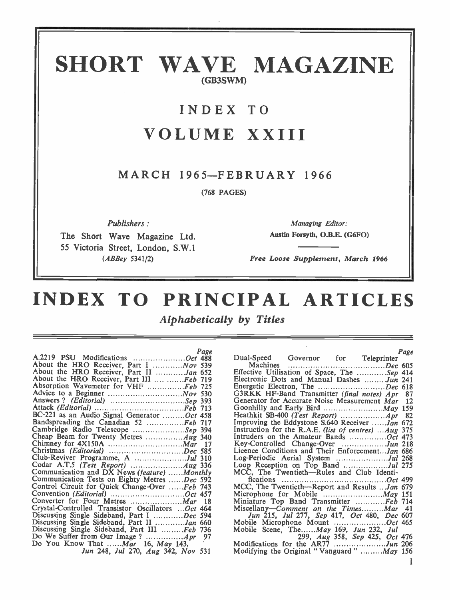# SHORT WAVE MAGAZINE (GB3SWM)

# INDEX TO VOLUME XXIII

### MARCH 1965-FEBRUARY 1966

(768 PAGES)

Publishers :

The Short Wave Magazine Ltd. 55 Victoria Street, London, S.W.1 (ABBey 5341/2)

Managing Editor: Austin Forsyth, O.B.E. (G6FO)

Free Loose Supplement, March 1966

# INDEX TO PRINCIPAL ARTICLES

Alphabetically by Titles

| Page                                              |        |
|---------------------------------------------------|--------|
| A.2219 PSU Modifications Oct 488                  | Dual   |
| About the HRO Receiver, Part I  Nov 539           |        |
| About the HRO Receiver, Part II Jan 652           | Effec  |
| About the HRO Receiver, Part III  Feb 719         | Elect  |
| Absorption Wavemeter for VHF Feb 725              | Ener   |
|                                                   | G3R    |
| Answers? (Editorial) Sep 393                      | Gene   |
|                                                   | Goo    |
| BC-221 as an Audio Signal Generator Oct 458       | Heat   |
| Bandspreading the Canadian 52 Feb 717             | Impi   |
| Cambridge Radio Telescope Sep 394                 | Instr  |
|                                                   | Intru  |
|                                                   | Key-   |
|                                                   | Licer  |
| Club-Reviver Programme, A Jul 310                 | $Log-$ |
|                                                   | Loop   |
| Communication and DX News (feature) Monthly       | MΟ     |
| Communication Tests on Eighty Metres Dec 592      |        |
| Control Circuit for Quick Change-Over Feb 743     | MΟ     |
| Convention (Editorial) Oct 457                    | Micr   |
|                                                   | Mini   |
| Crystal-Controlled Transistor Oscillators Oct 464 | Misc   |
| Discussing Single Sideband, Part I Dec 594        |        |
| Discussing Single Sideband, Part II Jan 660       | Mob    |
| Discussing Single Sideband, Part III Feb 736      | Mob    |
| - 97                                              |        |
| Do You Know That  Mar 16, May 143,                | Mod    |
| Jun 248, Jul 270, Aug 342, Nov 531                | Mod    |
|                                                   |        |

|                                                       | Page |
|-------------------------------------------------------|------|
| Dual-Speed Governor for Teleprinter                   |      |
|                                                       |      |
| Effective Utilisation of Space, The Sep 414           |      |
| Electronic Dots and Manual Dashes Jun 241             |      |
| Energetic Electron, The Dec 618                       |      |
| G3RKK HF-Band Transmitter (final notes) Apr 87        |      |
| Generator for Accurate Noise Measurement Mar 12       |      |
| Goonhilly and Early Bird  May 159                     |      |
|                                                       |      |
| Improving the Eddystone S.640 Receiver Jan 672        |      |
| Instruction for the R.A.E. (list of centres)  Aug 375 |      |
| Intruders on the Amateur Bands Oct 473                |      |
| Key-Controlled Change-Over Jun 218                    |      |
| Licence Conditions and Their Enforcement Jan 686      |      |
| Log-Periodic Aerial System Jul 268                    |      |
| Loop Reception on Top Band Jul 275                    |      |
| MCC, The Twentieth—Rules and Club Identi-             |      |
|                                                       |      |
| MCC, The Twentieth-Report and Results  Jan 679        |      |
|                                                       |      |
| Miniature Top Band Transmitter Feb 714                |      |
| Miscellany-Comment on the TimesMar 41                 |      |
| Jun 215, Jul 277, Sep 417, Oct 480, Dec 607           |      |
| Mobile Microphone Mount Oct 465                       |      |
| Mobile Scene, TheMay 169, Jun 232, Jul                |      |
| 299, Aug 358, Sep 425, Oct 476                        |      |
| Modifications for the AR77 Jun 206                    |      |
| Modifying the Original "Vanguard" May 156             |      |
|                                                       |      |
|                                                       | l    |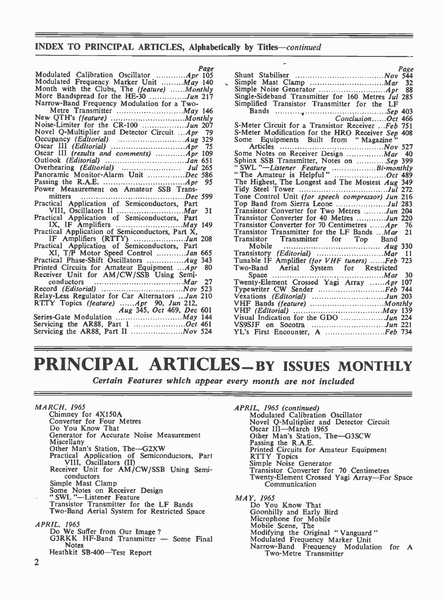#### INDEX TO PRINCIPAL ARTICLES, Alphabetically by Titles—continued

| Page<br>Modulated Calibration Oscillator  Apr 105  |                                                                         | Page |  |
|----------------------------------------------------|-------------------------------------------------------------------------|------|--|
| Modulated Frequency Marker Unit  May 140           |                                                                         |      |  |
| Month with the Clubs, The (feature) Monthly        |                                                                         |      |  |
| More Bandspread for the HE-30 Jun 217              | Single-Sideband Transmitter for 160 Metres Jul 285                      |      |  |
| Narrow-Band Frequency Modulation for a Two-        | Simplified Transistor Transmitter for the LF                            |      |  |
|                                                    |                                                                         |      |  |
|                                                    |                                                                         |      |  |
|                                                    | S-Meter Circuit for a Transistor Receiver Feb 751                       |      |  |
| Novel Q-Multiplier and Detector Circuit  Apr       |                                                                         |      |  |
| - 79                                               | S-Meter Modification for the HRO Receiver Sep 408                       |      |  |
|                                                    | Some Equipments Built from "Magazine"                                   |      |  |
| - 75                                               |                                                                         |      |  |
| Oscar III (results and comments)  Apr 109          | Some Notes on Receiver Design  Mar 40                                   |      |  |
|                                                    | Sphinx SSB Transmitter, Notes on Sep 399                                |      |  |
|                                                    | "SWL "-Listener Feature Bi-monthly<br>"The Amateur is Helpful " Oct 489 |      |  |
| Panoramic Monitor-Alarm Unit Dec 586               |                                                                         |      |  |
|                                                    | The Highest, The Longest and The Mostest Aug 349                        |      |  |
| Power Measurement on Amateur SSB Trans-            |                                                                         |      |  |
|                                                    | Tone Control Unit (for speech compressor) Jun 216                       |      |  |
|                                                    |                                                                         |      |  |
| - 31                                               | Transistor Converter for Two Metres Jun 204                             |      |  |
| Practical Application of Semiconductors, Part      | Transistor Converter for 40 Metres Jun 220                              |      |  |
|                                                    | Transistor Converter for 70 Centimetres <i>Apr</i> 76                   |      |  |
| Practical Application of Semiconductors, Part X,   | Transistor Transmitter for the LF Bands Mar 21                          |      |  |
|                                                    | Transistor Transmitter for Top Band                                     |      |  |
| Practical Application of Semiconductors, Part      |                                                                         |      |  |
| XI, T/P Motor Speed Control Jan 665                |                                                                         |      |  |
|                                                    | Tunable IF Amplifier (for VHF tuners) Feb 723                           |      |  |
| Printed Circuits for Amateur Equipment Apr<br>- 80 |                                                                         |      |  |
| Receiver Unit for AM/CW/SSB Using Semi-            |                                                                         |      |  |
| conductors                                         | Twenty-Element Crossed Yagi Array Apr 107                               |      |  |
|                                                    |                                                                         |      |  |
| Relay-Less Regulator for Car Alternators Jun 210   | Vexations (Editorial) Jun 203                                           |      |  |
| $RTTY$ Topics (feature) $Apr$ 90, Jun 212,         |                                                                         |      |  |
| Aug 345, Oct 469, Dec 601                          |                                                                         |      |  |
|                                                    |                                                                         |      |  |
|                                                    |                                                                         |      |  |
|                                                    |                                                                         |      |  |
|                                                    |                                                                         |      |  |

# PRINCIPAL ARTICLES-BY ISSUES MONTHLY

Certain Features which appear every month are not included

MARCH, 1965 Chimney for 4X150A Converter for Four Metres Do You Know That Generator for Accurate Noise Measurement<br>Miscellany Miscellany<br>Other Man's Station, The-G2XW Practical Application of Semiconductors, Part VIII, Oscillators (II) Receiver Unit for AM/CW/SSB Using Semi- conductors Simple Mast Clamp<br>Some Notes on Receiver Design " SWL "-Listener Feature Transistor Transmitter for the LF Bands Two -Band Aerial System for Restricted Space APRIL. 1965<br>Do We Suffer from Our Image? G3RKK HF-Band Transmitter - Some Final Notes

Heathkit SB-400-Test Report

APRIL, 1965 (continued)<br>Modulated Calibration Oscillator<br>Novel Q-Multiplier and Detector Circuit Novel Q-Multiplier and Detector Circuit<br>Oscar III—March 1965<br>Other Man's Station, The—G3SCW Passing the R.A.E.<br>Passing the R.A.E.<br>Printed Circuits for Amateur Equipment<br>RTTY Topics<br>Simple Noise Generator<br>Transistor Converter for 70 Centimetres Twenty -Element Crossed Yagi Array-For Space Communication MAY, 1965<br>Do You Know That<br>Goonhilly and Early Bird Goonhilly and Early Bird Microphone for Mobile Mobile Scene, The Modifying the Original "Vanguard"<br>Modulated Frequency Marker Unit<br>Narrow-Band Frequency Modulation for A Narrow-Band Frequency Modulation for A<br>Two-Metre Transmitter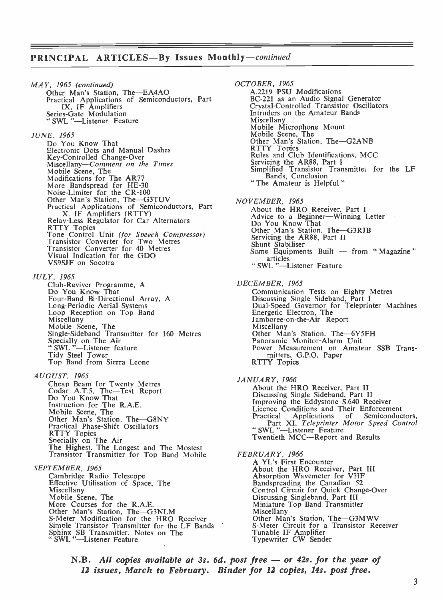### PRINCIPAL ARTICLES-By Issues Monthly-continued

MAY, 1965 (continued) Other Man's Station, The-EA4AO Practical Applications of Semiconductors, Part IX, IF Amplifiers Series -Gate Modulation TX, IF Amplifiers<br>Series-Gate Modulation<br>" SWL "-Listener Feature

#### JUNE, 1965

Do You Know That Electronic Dots and Manual Dashes Kiscellany-Comment on the Times<br>Mobile Scene, The<br>Modifications for The AR77 More Bandspread for HE-30<br>Noise-Limiter for the CR-100 Other Man's Station, The-G3TUV Practical Applications of Semiconductors, Part<br>
X. IF Amplifiers (RTTY)<br>
Relay-Less Regulator for Car Alternators<br>
RTTY Topics<br>
Transistor Converter for Two Metres<br>
Transistor Converter for 40 Metres Visual Indication for the GDO VS9SJF on Socotra

JULY, 1965

Club -Reviver Programme, A Do You Know That Four -Band Bi-Directional Array, A Long-Periodic Aerial Systems<br>
Loop Reception on Top Band<br>
Miscellany<br>
Mobile Scene, The<br>
Single-Sideband Transmitter for 160 Metres<br>
Specially on The Air<br>" SWL "-Listener feature<br>
Tidy Steel Tower Top Band from Sierra Leone

AUGUST, 1965<br>Cheap Beam for Twenty Metres Codar A.T.5, The-Test Report Do You Know That Instruction for The R.A.E. Mobile Scene, The<br>Other Man's Station, The-G8NY Practical Phase-Shift Oscillators<br>RTTY Topics Specially on The Air<br>The Highest. The Longest and The Mostest<br>Transistor Transmitter for Top Band Mobile

SEPTEMBER, 1965<br>Cambridge Radio Telescope Cambridge Radio Telescope<br>
Effective Utilisation of Space, The<br>
Miscellany<br>
Mobile Scene, The<br>
More Courses for the R.A.E.<br>
Other Man's Station, The—G3NLM S-Meter Modification for the HRO Receiver Simple Transistor Transmitter for the LF Bands<br>Sphinx SB Transmitter, Notes on The<br>"SWL"—Listener Feature

OCTOBER, 1965 A.2219 PSU Modifications BC -221 as an Audio Signal Generator Crystal -Controlled Transistor Oscillators Intruders on the Amateur Bands Mischalany Mobile Microphone Mount<br>
Mobile Scene, The<br>
Other Man's Station, The-G2ANB<br>
RTTY Topics Rules and Club Identifications, MCC<br>Servicing the AR88, Part I Servicing the AR88, Part I<br>Simplified Transistor Transmittei for the LF<br>Bands, Conclusion " The Amateur is Helpful " NOVEMBER, 1965<br>About the HRO Receiver, Part I Advice to a Beginner-Winning Letter<br>Do You Know That Other Man's Station, The-G3RJB<br>Servicing the AR88, Part II Servicing the AR88, Part II<br>Shunt Stabiliser Some Equipments Built  $-$  from "Magazine" articles " SWL "-Listener Feature DECEMBER, 1965 Communication Tests on Eighty Metres<br>Discussing Single Sideband, Part I<br>Dual-Speed Governor for Teleprinter Machines Energetic Electron, The<br>Jamboree-on-the-Air Report<br>Miscellany Other Man's Station. The-6Y5FH Panoramic Monitor -Alarm Unit Power Measurement on Amateur SSB Transmitters. G.P.O. Paper RTTY Topics JANUARY, 1966 About the HRO Receiver, Part II Discussing Single Sideband, Part II Improving the Eddystone S.640 Receiver Licence Conditions and Their Enforcement Practical Applications of Semiconductors,<br>Part XI, *Teleprinter Motor Speed Control*<br>"SWL "--Listener Feature "SWL""-Listener Feature<br>Twentieth MCC-Report and Results FEBRUARY, 1966 A YL's First Encounter<br>About the HRO Receiver, Part III<br>Absorption Wavemeter for VHF Rendspreading the Canadian 52<br>Control Circuit for Quick Change-Over<br>Discussing Singleband, Part III<br>Miniature Top Band Transmitter<br>Miscellany<br>Other Man's Station, The—G3MWV S-Meter Circuit for a Transistor Receiver Tunable IF Amplifier Typewriter CW Sender

N.B. All copies available at 3s. 6d. post free - or 42s. for the year of 12 issues, March to February. Binder for 12 copies, 14s. post free.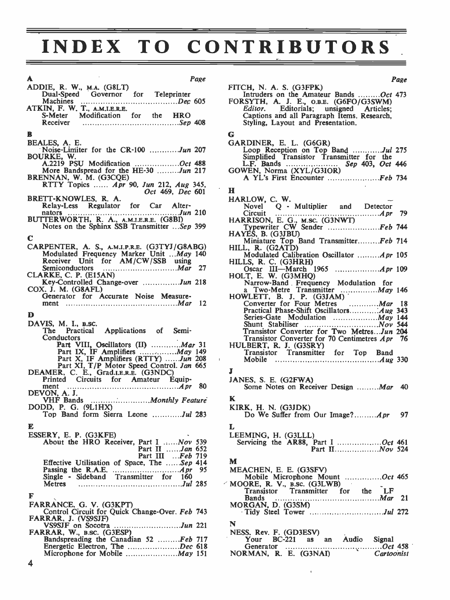# INDEX TO CONTRIBUTORS

| A<br>Page                                                                                                                                                       |                                |
|-----------------------------------------------------------------------------------------------------------------------------------------------------------------|--------------------------------|
| ADDIE, R. W., M.A. (G8LT)                                                                                                                                       | <b>FITCH</b>                   |
| Dual-Speed Governor for Teleprinter<br>Machines                                                                                                                 | In                             |
|                                                                                                                                                                 | <b>FORS</b><br>Ec              |
|                                                                                                                                                                 | С٤                             |
|                                                                                                                                                                 | St                             |
| B                                                                                                                                                               | G                              |
| BEALES, A. E.                                                                                                                                                   | GARL                           |
| Noise-Limiter for the CR-100 Jun 207                                                                                                                            | Lo                             |
| BOURKE, W.                                                                                                                                                      | Siı                            |
| A.2219 PSU Modification Oct 488<br>More Bandspread for the HE-30 Jun 217                                                                                        | L.<br><b>GOWE</b>              |
|                                                                                                                                                                 | A                              |
| BRENNAN, W. M. (G3CQE)<br>RTTY Topics  Apr 90, Jun 212, Aug 345,                                                                                                |                                |
| Oct 469, Dec 601                                                                                                                                                | н                              |
| BRETT-KNOWLES, R. A.<br>Relay-Less Regulator for Car Alter-                                                                                                     | <b>HARL</b>                    |
|                                                                                                                                                                 | N<br>Ci                        |
| nators<br>BUTTERWORTH, R. A., A.M.I.E.R.E. (G8BI)<br>Notes on the Sphinx SSB Transmitter Sep 399                                                                | <b>HARR</b>                    |
|                                                                                                                                                                 | Т١                             |
| С                                                                                                                                                               | <b>HAYE</b>                    |
| CARPENTER, A. S., A.M.I.P.R.E. (G3TYJ/G8ABG)<br>Modulated Frequency Marker Unit May 140<br>Receiver Unit for AM/CW/SSB using<br>Semiconductors<br>Communication | M<br>HILL,                     |
|                                                                                                                                                                 | м                              |
|                                                                                                                                                                 | HILLS                          |
| CLARKE, C. P. (E15AN)                                                                                                                                           | O:<br>HOLT                     |
| Key-Controlled Change-over Jun 218                                                                                                                              | N                              |
| COX. J. M. (G8AFL)                                                                                                                                              | a                              |
| Generator for Accurate Noise Measure-                                                                                                                           | <b>HOWI</b>                    |
|                                                                                                                                                                 | $\mathbf{C}$<br>P <sub>I</sub> |
| D                                                                                                                                                               | Sε                             |
| DAVIS, M. I., B.SC.                                                                                                                                             | Sŀ                             |
| The Practical Applications of Semi-<br>Conductors                                                                                                               | Тı<br>Tı                       |
| Part VIII, Oscillators (II) <i>Mar</i> 31                                                                                                                       | <b>HULE</b>                    |
|                                                                                                                                                                 | Tı                             |
|                                                                                                                                                                 | ł.<br>M                        |
| Part XI, T/P Motor Speed Control. Jan 665<br>DEAMER, C. E., Grad.I.E.R.E. (G3NDC)                                                                               | J                              |
| Printed Circuits for Amateur Equip-                                                                                                                             | <b>JANE</b>                    |
| 80<br>ment<br>$\overline{A}$ pr<br>DEVON, A. J.                                                                                                                 | Sc                             |
|                                                                                                                                                                 | K                              |
| DODD, P. G. (9L1HX)                                                                                                                                             | <b>KIRK</b>                    |
| Top Band form Sierra Leone Jul 283                                                                                                                              | D                              |
| E                                                                                                                                                               | L                              |
| ESSERY, E. P. (G3KFE)                                                                                                                                           | <b>LEEM</b>                    |
| About the HRO Receiver, Part I  Nov 539                                                                                                                         | Serv                           |
| Part II <i>Jan</i> 652                                                                                                                                          |                                |
| Part III Feb 719<br>Effective Utilisation of Space, The Sep 414                                                                                                 | M                              |
|                                                                                                                                                                 | <b>MEA</b>                     |
| Single - Sideband Transmitter for<br>160                                                                                                                        | M                              |
| Metres                                                                                                                                                          | $\sim$ MOOl                    |
| F                                                                                                                                                               | T<br>${\bf B}$                 |
| FARRANCE, G. V. (G3KPT)                                                                                                                                         | <b>MOR</b>                     |
| Control Circuit for Quick Change-Over. Feb 743                                                                                                                  | $\cdot$ T                      |
| FARRAR, J. (VS9SJF)                                                                                                                                             | N                              |
| VS9SJF on Socotra<br><i>Jun</i> 221<br>FARRAR, W., B.SC. (G3ESP)                                                                                                | NESS.                          |
|                                                                                                                                                                 | Y                              |
| Bandspreading the Canadian 52  Feb 717<br>Energetic Electron, The Dec 618                                                                                       | G                              |
|                                                                                                                                                                 | NOR!                           |

|                                                                                                                                                                                                                                           | Page |
|-------------------------------------------------------------------------------------------------------------------------------------------------------------------------------------------------------------------------------------------|------|
| FITCH, N. A. S. (G3FPK)<br>Intruders on the Amateur Bands Oct 473<br>FORSYTH, A. J. E., O.B.E. (G6FO/G3SWM)<br>Editor. Editorials; unsigned Articles;<br>Captions and all Paragraph Items. Research,<br>Styling, Layout and Presentation. |      |
|                                                                                                                                                                                                                                           |      |
| G<br>GARDINER, E. L. (G6GR)<br>Loop Reception on Top Band Jul 275<br>A YL's First Encounter Feb 734                                                                                                                                       |      |
|                                                                                                                                                                                                                                           |      |
| н<br>HARLOW, C. W.<br>Novel Q - Multiplier and Detector<br>Typewriter CW Sender Feb 744                                                                                                                                                   |      |
|                                                                                                                                                                                                                                           |      |
| HAYES, B. (G3JBU)<br>Miniature Top Band TransmitterFeb 714<br>HILL, R. (G2ATD)                                                                                                                                                            |      |
| Modulated Calibration Oscillator <i>Apr</i> 105<br>HILLS, R. C. (G3HRH)                                                                                                                                                                   |      |
|                                                                                                                                                                                                                                           |      |
| Narrow-Band Frequency Modulation for<br>A Two-Metre Transmitter May 146<br>HOWLETT, B. J. P. (G3JAM)<br>Converter for Four Metres                                                                                                         |      |
|                                                                                                                                                                                                                                           |      |
|                                                                                                                                                                                                                                           |      |
|                                                                                                                                                                                                                                           |      |
| Series-Gate Modulation  May 144                                                                                                                                                                                                           |      |
| Shunt Stabiliser<br>Transistor Converter for Two MetresJun 204                                                                                                                                                                            |      |
| Transistor Converter for 70 Centimetres Apr 76<br>HULBERT, R. J. (G3SRY)                                                                                                                                                                  |      |
|                                                                                                                                                                                                                                           |      |
| J                                                                                                                                                                                                                                         |      |
| JANES, S. E. (G2FWA)<br>Some Notes on Receiver Design Mar 40                                                                                                                                                                              |      |
| K                                                                                                                                                                                                                                         |      |
| KIRK, H. N. $(G3JDK)$<br>Do We Suffer from Our Image? <i>Apr</i> 97                                                                                                                                                                       |      |
| L                                                                                                                                                                                                                                         |      |
| LEEMING, H. (G3LLL)                                                                                                                                                                                                                       |      |
|                                                                                                                                                                                                                                           |      |
| м<br>MEACHEN, E. E. (G3SFV)<br>Mobile Microphone Mount Oct 465                                                                                                                                                                            |      |
| $\angle$ MOORE, R. V., B.sc. (G3LWB)<br>Transistor Transmitter for the LF                                                                                                                                                                 |      |
| <b>Bands</b>                                                                                                                                                                                                                              |      |
| MORGAN, D. (G3SM)<br>Tidy Steel Tower Jul 272                                                                                                                                                                                             |      |
| N                                                                                                                                                                                                                                         |      |
| NESS, Rev. F. (GD3ESV)<br>Your BC-221 as an Audio<br>Signal                                                                                                                                                                               |      |
|                                                                                                                                                                                                                                           |      |
|                                                                                                                                                                                                                                           |      |

 $\overline{1}$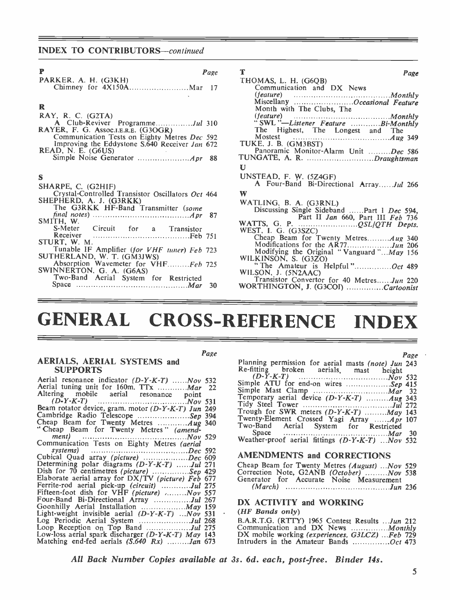#### INDEX TO CONTRIBUTORS-continued

| P<br>Page                                                                  | Т<br>Page                                                     |
|----------------------------------------------------------------------------|---------------------------------------------------------------|
| PARKER, A. H. (G3KH)                                                       | THOMAS, L. H. (G6QB)                                          |
|                                                                            | Communication and DX News                                     |
|                                                                            |                                                               |
|                                                                            | (feature) Monthly<br>Miscellany Miscellany Creasional Feature |
| R                                                                          | Month with The Clubs, The                                     |
| $RAY$ , R. C. $(G2TA)$                                                     |                                                               |
|                                                                            | "SWL"-Listener Feature Bi-Monthly                             |
| RAYER, F. G. Assoc.I.E.R.E. (G3OGR)                                        | The Highest, The Longest and The                              |
| Communication Tests on Eighty Metres Dec 592                               |                                                               |
| Improving the Eddystone S.640 Receiver Jan 672                             | TUKE, J. B. (GM3BST)                                          |
| READ, N. E. (G6US)                                                         | Panoramic Monitor-Alarm Unit Dec 586                          |
|                                                                            | TUNGATE, A. R. Draughtsman                                    |
|                                                                            | U                                                             |
| S                                                                          | UNSTEAD, F. W. (5Z4GF)                                        |
|                                                                            | A Four-Band Bi-Directional ArrayJul 266                       |
| SHARPE, C. (G2HIF)                                                         |                                                               |
| Crystal-Controlled Transistor Oscillators Oct 464                          | W                                                             |
| SHEPHERD, A. J. (G3RKK)                                                    | WATLING, B. A. (G3RNL)                                        |
| The G3RKK HF-Band Transmitter (some                                        | Discussing Single Sideband Part 1 Dec 594,                    |
|                                                                            | Part II Jan 660, Part III Feb 736                             |
| SMITH, W.                                                                  |                                                               |
| S-Meter Circuit for a Transistor                                           | WEST, I. G. (G3SZC)                                           |
| STURT, W. M.                                                               | Cheap Beam for Twenty Metres Aug 340                          |
|                                                                            | Modifications for the AR77Jun 206                             |
| Tunable IF Amplifier (for VHF tuner) Feb 723<br>SUTHERLAND, W. T. (GM3JWS) | Modifying the Original "Vanguard" $May$ 156                   |
|                                                                            | WILKINSON, S. (G3ZO)                                          |
| Absorption Wavemeter for VHFFeb 725<br>SWINNERTON, G. A. (G6AS)            | "The Amateur is Helpful"Oct 489                               |
|                                                                            | WILSON, J. (5N2AAC)                                           |
| Two-Band Aerial System for Restricted                                      | Transistor Convertor for 40 MetresJun 220                     |
|                                                                            | WORTHINGTON I (G3COI) Carteonist                              |

| Miscellany Occasional Feature                                                   |
|---------------------------------------------------------------------------------|
| Month with The Clubs, The                                                       |
|                                                                                 |
| "SWL"-Listener Feature Bi-Monthly                                               |
| The Highest, The Longest and The                                                |
| Mostest                                                                         |
| TUKE, J. B. (GM3BST)                                                            |
| Panoramic Monitor-Alarm Unit Dec 586                                            |
| TUNGATE, A. R. Draughtsman                                                      |
| U                                                                               |
| UNSTEAD, F. W. (5Z4GF)                                                          |
| A Four-Band Bi-Directional ArrayJul 266                                         |
|                                                                                 |
| W                                                                               |
| WATLING, B. A. (G3RNL)                                                          |
| Discussing Single Sideband Part 1 Dec 594,                                      |
| Part II Jan 660, Part III Feb 736                                               |
|                                                                                 |
| WEST, I. G. (G3SZC)                                                             |
| Cheap Beam for Twenty MetresAug 340                                             |
| Modifications for the AR77Jun 206                                               |
| Modifying the Original "Vanguard"May 156                                        |
| WILKINSON, S. (G3ZO)                                                            |
| WILSON, J. (5N2AAC)                                                             |
|                                                                                 |
| Transistor Convertor for 40 MetresJun 220<br>WORTHINGTON, J. (G3COI) Cartoonist |
|                                                                                 |

# GENERAL CROSS-REFERENCE INDEX

Page

| ---------                                                                                                                          |                                  |
|------------------------------------------------------------------------------------------------------------------------------------|----------------------------------|
| Aerial resonance indicator (D-Y-K-T) Nov 532<br>Aerial tuning unit for 160m. TTx  Mar 22<br>Altering mobile aerial resonance point | (L)<br>Simple<br>Simple<br>Tempo |
|                                                                                                                                    | Tidy 9                           |
| Beam rotator device, gram. motor (D-Y-K-T) Jun 249                                                                                 | Trough                           |
| Cambridge Radio Telescope Sep 394                                                                                                  |                                  |
| Cheap Beam for Twenty Metres  Aug 340                                                                                              | Twenty                           |
| "Cheap Beam for Twenty Metres" (amend-                                                                                             | Two-B                            |
|                                                                                                                                    | Sr                               |
| Communication Tests on Eighty Metres (aerial                                                                                       | Weath                            |
|                                                                                                                                    |                                  |
| Cubical Quad array (picture) Dec 609                                                                                               | <b>AME</b>                       |
|                                                                                                                                    |                                  |
| Determining polar diagrams $(D-Y-K-T)$ Jul 271                                                                                     | Cheap                            |
| Dish for 70 centimetres (picture) Sep 429                                                                                          | Correc                           |
| Elaborate aerial array for DX/TV (picture) Feb 677                                                                                 | Genera                           |
| Ferrite-rod aerial pick-up (circuit) Jul 275                                                                                       | $(\Lambda)$                      |
| Fifteen-foot dish for VHF (picture) Nov 557                                                                                        |                                  |
| Four-Band Bi-Directional Array Jul 267                                                                                             | DX A                             |
| Goonhilly Aerial Installation  May 159                                                                                             |                                  |
| Light-weight invisible aerial $(D-Y-K-T)$ Nov 531                                                                                  | (HF B                            |
| Log Periodic Aerial System Jul 268                                                                                                 | B.A.R.                           |
| Loop Reception on Top Band Jul 275                                                                                                 | Comm                             |
|                                                                                                                                    |                                  |
| Low-loss aerial spark discharger (D-Y-K-T) May 143                                                                                 | $DX$ m                           |
| Matching end-fed aerials $(S.640 Rx)$ <i>Jan</i> 673                                                                               | Intrude                          |

AERIALS, AERIAL SYSTEMS and

SUPPORTS

|                                                                                              | Page · |
|----------------------------------------------------------------------------------------------|--------|
| Planning permission for aerial masts (note) Jun 243                                          |        |
| Re-fitting broken aerials, mast height                                                       |        |
|                                                                                              |        |
| Simple ATU for end-on wires Sep 415                                                          |        |
|                                                                                              |        |
| Temporary aerial device $(D-Y-K-T)$ Aug 343                                                  |        |
|                                                                                              |        |
| Trough for SWR meters $(D-Y-K-T)$ $May$ 143                                                  |        |
| Twenty-Element Crossed Yagi Array Apr 107                                                    |        |
| Two-Band Aerial System for Restricted                                                        |        |
| Space $\ldots \ldots \ldots \ldots \ldots \ldots \ldots \ldots \ldots \ldots \ldots M$ ar 30 |        |
| Weather-proof aerial fittings $(D-Y-K-T)$ Nov 532                                            |        |
|                                                                                              |        |

### AMENDMENTS and CORRECTIONS

| Cheap Beam for Twenty Metres (August)  Nov 529 |  |
|------------------------------------------------|--|
| Correction Note, G2ANB (October) Nov 538       |  |
| Generator for Accurate Noise Measurement       |  |
|                                                |  |

#### DX ACTIVITY and WORKING

#### (HF Bands only)

B.A.R.T.G. (RTTY) 1965 Contest Results ...Jun 212<br>Communication and DX News ...............*Monthly*<br>DX mobile working *(experiences, G3LCZ*) ...*Feb* 729 Intruders in the Amateur Bands ................ $Oct$  473

AU Back Number Copies available at 3s. 6d. each, post-free. Binder 14s.

5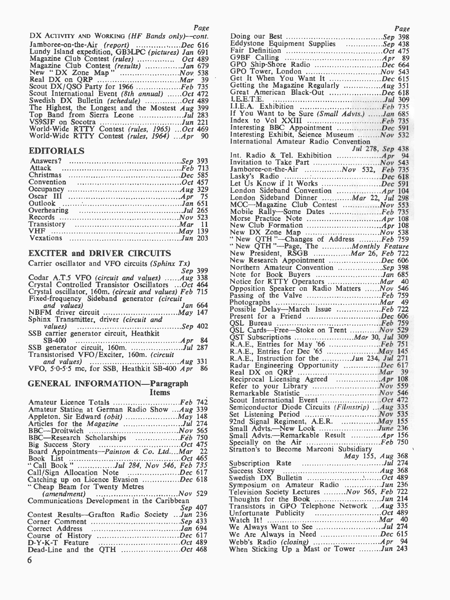| DX ACTIVITY AND WORKING (HF Bands only)-cont.                        |  |
|----------------------------------------------------------------------|--|
| Jamboree-on-the-Air (report) Dec 616                                 |  |
| Lundy Island expedition, GB3LPC (pictures) Jan 691                   |  |
| Magazine Club Contest (rules)  Oct 489                               |  |
| Magazine Club Contest (results) Jan 679<br>New "DX Zone Map" Nov 538 |  |
|                                                                      |  |
|                                                                      |  |
| Scout DX/QSO Party for 1966 Feb 735                                  |  |
| Scout International Event (8th annual) Oct 472                       |  |
| Swedish DX Bulletin (schedule) Oct 489                               |  |
| The Highest, the Longest and the Mostest $Aug$ 399                   |  |
| Top Band from Sierra Leone Jul 283                                   |  |
|                                                                      |  |
| World-Wide RTTY Contest (rules, 1965) Oct 469                        |  |
| World-Wide RTTY Contest (rules, 1964) Apr 90                         |  |
|                                                                      |  |

# **EDITORIALS**

|  | Invit           |
|--|-----------------|
|  | Jamb            |
|  | Lask            |
|  | Let $\mathbf I$ |
|  | Lond            |
|  | Lond            |
|  | MCC             |
|  | Mob             |
|  | Mors            |
|  | New             |
|  | <b>New</b>      |
|  | " Net           |
|  |                 |

### EXCITER and DRIVER CIRCUITS

| Carrier oscillator and VFO circuits (Sphinx $Tx$ )     |         | <b>INCW</b>  |
|--------------------------------------------------------|---------|--------------|
|                                                        | Sep 399 | Nort         |
| Codar A.T.5 VFO (circuit and values) Aug 338           |         | Note         |
| Crystal Controlled Transistor Oscillators Oct 464      |         | Noti         |
| Crystal oscillator, 160m. (circuit and values) Feb 715 |         | Oppo         |
| Fixed-frequency Sideband generator (circuit            |         | Passi        |
| and values)                                            | Jan 664 | Phot         |
|                                                        |         | Possi        |
| Sphinx Transmitter, driver (circuit and                |         | Prese        |
|                                                        |         | OSL          |
| SSB carrier generator circuit, Heathkit                |         | OSL          |
|                                                        |         | OST          |
| SSB generator circuit, 160m. Jul 287                   |         | R.A.         |
| Transistorised VFO/Exciter, 160m. (circuit             |         | R.A.         |
|                                                        |         | R.A.         |
| VFO, 5.0-5.5 mc, for SSB, Heathkit SB-400 Apr 86       |         | Rada<br>Real |

#### GENERAL INFORMATION—Paragraph Items

| Amateur Licence Totals Feb 742                 | Scout   |
|------------------------------------------------|---------|
| Amateur Station at German Radio Show Aug 339   | Semico  |
|                                                | Set Li  |
| Articles for the <i>Magazine</i> Jul 274       | 92nd :  |
|                                                | Small   |
| BBC—Research Scholarships Feb 750              | Small   |
|                                                | Special |
| Board Appointments-Painton & Co. LtdMar 22     | Stratto |
|                                                |         |
| "Call Book" Jul 284, Nov 546, Feb 735          | Subscr  |
| Call/Sign Allocation Note Dec 617              | Succes: |
| Catching up on Licence Evasion Dec 618         | Swedis  |
| "Cheap Beam for Twenty Metres"                 | Sympo   |
|                                                | Televis |
| Communications Development in the Caribbean    | Thoug   |
| Sep 407                                        | Transi: |
| Contest Results-Grafton Radio Society  Jun 236 | Unfort  |
|                                                | Watch   |
|                                                | We Al   |
| Course of History Dec 617                      | We A    |
|                                                | Webb's  |
| Dead-Line and the OTH Oct 468                  | When    |
| 6                                              |         |

| Page                                                                              | Page                                                                                  |
|-----------------------------------------------------------------------------------|---------------------------------------------------------------------------------------|
| DX ACTIVITY AND WORKING (HF Bands only)-cont.                                     |                                                                                       |
| Jamboree-on-the-Air (report) Dec 616                                              | Eddystone Equipment Supplies Sep 438                                                  |
| Lundy Island expedition, GB3LPC (pictures) Jan 691                                |                                                                                       |
| Magazine Club Contest (rules)  Oct 489                                            |                                                                                       |
|                                                                                   |                                                                                       |
|                                                                                   |                                                                                       |
|                                                                                   | Get It When You Want It Dec 615                                                       |
| Scout DX/QSO Party for 1966 Feb 735                                               |                                                                                       |
| Scout International Event (8th annual) Oct 472                                    | Great American Black-Out Dec 618                                                      |
| Swedish DX Bulletin (schedule) Oct 489                                            |                                                                                       |
| The Highest, the Longest and the Mostest Aug 399                                  |                                                                                       |
| Top Band from Sierra Leone Jul 283                                                | If You Want to be Sure (Small Advts.) Jan 685                                         |
|                                                                                   | Interesting BBC Appointment Dec 591                                                   |
| World-Wide RTTY Contest (rules, 1965) Oct 469                                     | Interesting Exhibit, Science Museum <i>Nov</i> 532                                    |
| World-Wide RTTY Contest (rules, 1964) Apr 90                                      | International Amateur Radio Convention                                                |
|                                                                                   | Jul 278, Sep 438                                                                      |
| EDITORIALS                                                                        |                                                                                       |
|                                                                                   |                                                                                       |
|                                                                                   | Jamboree-on-the-Air $\dots \dots \dots \dots Nov$ 532, Feb 735                        |
|                                                                                   |                                                                                       |
|                                                                                   |                                                                                       |
| Occupancy $\dots \dots \dots \dots \dots \dots \dots \dots \dots \dots A u g$ 329 |                                                                                       |
|                                                                                   | London Sideband Dinner  Mar 22, Jul 298                                               |
|                                                                                   | MCC—Magazine Club Contest  Nov 553                                                    |
|                                                                                   | Mobile Rally-Some Dates Feb 735                                                       |
|                                                                                   |                                                                                       |
|                                                                                   |                                                                                       |
|                                                                                   | "New QTH"-Changes of Address Feb 759                                                  |
|                                                                                   |                                                                                       |
| <b>EXCITER and DRIVER CIRCUITS</b>                                                | "New QTH"-Page, The Monthly Feature<br>New President, RSGB  Mar 26, Feb 722           |
|                                                                                   | New Research Appointment Dec 606                                                      |
| Carrier oscillator and VFO circuits (Sphinx $Tx$ )                                | Northern Amateur Convention Sep 398                                                   |
| Sep 399                                                                           | Note for Book Buyers Jan 685                                                          |
| Codar A.T.5 VFO (circuit and values) $Aug$ 338                                    | Notice for RTTY Operators <i>Mar</i> 40                                               |
| Crystal Controlled Transistor Oscillators Oct 464                                 | Opposition Speaker on Radio Matters  Nov 546                                          |
| Crystal oscillator, 160m. (circuit and values) Feb 715                            | Passing of the Valve Feb 759                                                          |
| Fixed-frequency Sideband generator (circuit<br>and values)<br>Jan 664             |                                                                                       |
|                                                                                   | Possible Delay—March Issue Feb 722                                                    |
| Sphinx Transmitter, driver (circuit and                                           |                                                                                       |
|                                                                                   |                                                                                       |
| SSB carrier generator circuit, Heathkit                                           |                                                                                       |
|                                                                                   |                                                                                       |
|                                                                                   | R.A.E., Entries for May '66 Feb 751                                                   |
| Transistorised VFO/Exciter, 160m. (circuit                                        |                                                                                       |
|                                                                                   | R.A.E., Instruction for the Jun 234, Jul 271<br>Radar Engineering Opportunity Dec 617 |
| VFO, 5.0-5.5 mc, for SSB, Heathkit SB-400 Apr 86                                  |                                                                                       |
|                                                                                   |                                                                                       |
| <b>GENERAL INFORMATION—Paragraph</b>                                              |                                                                                       |
| <b>Items</b>                                                                      |                                                                                       |
| Amateur Licence Totals Feb 742                                                    | Scout International Event Oct 472                                                     |
| Amateur Station at German Radio Show Aug 339                                      | Semiconductor Diode Circuits (Filmstrip)  Aug 335                                     |
|                                                                                   |                                                                                       |
| Articles for the <i>Magazine</i> Jul 274                                          | 92nd Signal Regiment, A.E.R.  May 155                                                 |
|                                                                                   | Small Advts.—New Look June 236                                                        |
| BBC—Research Scholarships Feb 750                                                 |                                                                                       |
|                                                                                   |                                                                                       |
| Board Appointments-Painton & Co. LtdMar 22                                        | Stratton's to Become Marconi Subsidiary<br>May 155, Aug 368                           |
|                                                                                   | Subscription Rate Jul 274                                                             |
| 'Call Book" Jul 284, Nov 546, Feb 735                                             |                                                                                       |
| Call/Sign Allocation Note Dec 617                                                 |                                                                                       |
| Catching up on Licence Evasion Dec 618                                            | Symposium on Amateur Radio Jun 236                                                    |
|                                                                                   | Television Society Lectures Nov 565, Feb 722                                          |
| 'Cheap Beam for Twenty Metres                                                     |                                                                                       |
|                                                                                   |                                                                                       |
| Communications Development in the Caribbean                                       | Transistors in GPO Telephone Network  Aug 335                                         |
| Sep 407                                                                           |                                                                                       |
| Contest Results—Grafton Radio Society Jun 236                                     |                                                                                       |
|                                                                                   | We Always Want to See Jul 274                                                         |
|                                                                                   | We Are Always in Need Dec 615                                                         |
| Dead-Line and the QTH Oct 468                                                     | When Sticking Up a Mast or Tower Jun 243                                              |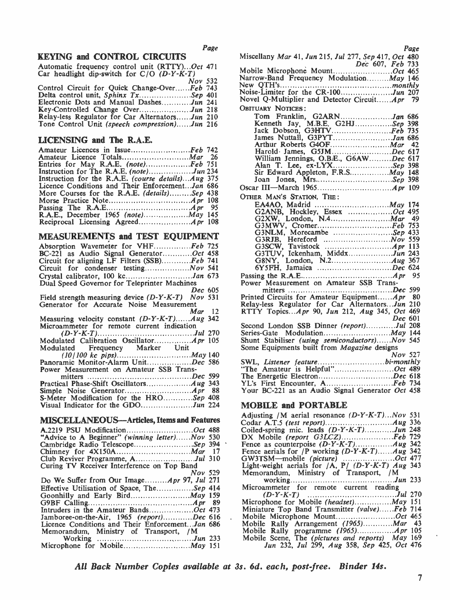### KEYING and CONTROL CIRCUITS

| Automatic frequency control unit (RTTY)Oct 471   | Mobi  |   |
|--------------------------------------------------|-------|---|
| Car headlight dip-switch for $C/O$ ( $D-Y-K-T$ ) | Narro |   |
| Nov 532                                          | New   |   |
| Control Circuit for Quick Change-OverFeb 743     | Noise |   |
| Delta control unit, Sphinx $Tx$ Sep 401          | Nove  |   |
| Electronic Dots and Manual DashesJun 241         |       |   |
| Key-Controlled Change OverJun 218                | OBITI |   |
| Relay-less Regulator for Car AlternatorsJun 210  |       | n |
| Tone Control Unit (speech compression)Jun 216    |       |   |
|                                                  |       |   |

### LICENSING and The R.A.E.

| Amateur Licences in IssueFeb 742                      | H            |
|-------------------------------------------------------|--------------|
| Amateur Licence Totals <i>Mar</i> 26                  | w            |
| Entries for May R.A.E. (note)Feb 751                  | $\mathbf{A}$ |
|                                                       | Si           |
| Instruction for the R.A.E. (course details) $Aug$ 375 | Jс           |
| Licence Conditions and Their EnforcementJan 686       | Oscar        |
| More Courses for the R.A.E. <i>(details)Sep</i> 438   |              |
|                                                       | OTHER        |
|                                                       | Е.           |
|                                                       | G            |
|                                                       | G            |
|                                                       | ົ            |

### MEASUREMENTS and TEST EQUIPMENT

| _______<br>----- - ---- -                                                                                            | UJ.         |
|----------------------------------------------------------------------------------------------------------------------|-------------|
| Absorption Wavemeter for VHFFeb 725                                                                                  | G3:         |
| BC-221 as Audio Signal GeneratorOct 458                                                                              | G3′         |
| Circuit for aligning LF Filters (SSB) $Feb$ 741                                                                      | G8          |
|                                                                                                                      | 6Y:         |
| Crystal calibrator, 100 kcJan 673                                                                                    | Passing     |
| Dual Speed Governor for Teleprinter Machines                                                                         | Power       |
| Dec 605                                                                                                              | n           |
| Field strength measuring device (D-Y-K-T) Nov 531                                                                    | Printed     |
| Generator for Accurate Noise Measurement                                                                             | Relay-le    |
| Mar<br>- 12                                                                                                          | <b>RTTY</b> |
| Measuring velocity constant (D-Y-K-T)Aug 342                                                                         |             |
| Microammeter for remote current indication                                                                           | Second      |
|                                                                                                                      | Series-C    |
| Modulated Calibration Oscillator Apr 105                                                                             | Shunt:      |
|                                                                                                                      | Some E      |
| Modulated Frequency Marker Unit                                                                                      |             |
|                                                                                                                      |             |
| Panoramic Monitor-Alarm UnitDec 586                                                                                  | SWL, 1      |
| Power Measurement on Amateur SSB Trans-                                                                              | "The $A$    |
|                                                                                                                      | The En      |
|                                                                                                                      | YL's F      |
| 88                                                                                                                   | Your B      |
| S-Meter Modification for the HROSep 408                                                                              |             |
| Visual Indicator for the GDOJun 224                                                                                  | <b>MOBI</b> |
|                                                                                                                      | Adjusti     |
| <b>MISCELLANEOUS-Articles, Items and Features</b>                                                                    | Codar .     |
| A.2219 PSU ModificationOct 488                                                                                       | Coiled-     |
| "Advice to A Beginner" (winning letter)Nov 530                                                                       | DX M        |
| Cambridge Radio TelescopeSep 394                                                                                     | Fence a     |
|                                                                                                                      | Fence a     |
|                                                                                                                      | GW3TS       |
| Curing TV Receiver Interference on Top Band                                                                          | Light-w     |
| Nov 529                                                                                                              | Memor       |
| Do We Suffer from Our ImageApr 97, Jul 271                                                                           |             |
| Effective Utilisation of Space, TheSep 414                                                                           | Microa      |
|                                                                                                                      | ſ           |
|                                                                                                                      | Microp      |
| Intruders in the Amateur BandsOct 473                                                                                | Miniatu     |
|                                                                                                                      | Mobile      |
| Jamboree-on-the-Air, 1965 (report)Dec 616<br>$\ddot{\phantom{0}}$<br>Licence Conditions and Their EnforcementJan 686 | Mobile      |
|                                                                                                                      | Mobile      |
| Memorandum, Ministry of Transport, /M                                                                                | Mobile      |
|                                                                                                                      |             |
|                                                                                                                      |             |

| Page |
|------|
|      |

| Miscellany Mar 41, Jun 215, Jul 277, Sep 417, Oct 480<br>Dec 607, Feb 733<br>Mobile Microphone MountOct 465 |
|-------------------------------------------------------------------------------------------------------------|
|                                                                                                             |
| Narrow-Band Frequency Modulation May 146                                                                    |
|                                                                                                             |
| Noise-Limiter for the CR-100Jun 207                                                                         |
| Novel Q-Multiplier and Detector CircuitApr 79                                                               |
| OBITUARY NOTICES:                                                                                           |
|                                                                                                             |
| Tom Franklin, G2ARNJan 686                                                                                  |
| Kenneth Jay, M.B.E. G2HJSep 398                                                                             |
| Jack Dobson, G3HTVFeb 735                                                                                   |
| James Nuttall, G3PYTJan 686                                                                                 |
| Arthur Roberts G4OF <i>Mar</i> 42                                                                           |
| Harold James, G5JMDec 617                                                                                   |
| William Jennings, O.B.E., G6AWDec 617                                                                       |
| Alan T. Lee, ex-LYXSep 398                                                                                  |
|                                                                                                             |
| Joan Jones, MrsSep 398                                                                                      |
|                                                                                                             |
| OTHER MAN'S STATION, THE:                                                                                   |
|                                                                                                             |
| G2ANB, Hockley, Essex Oct 495                                                                               |
| 49                                                                                                          |
| G3MWV, CromerFeb 753                                                                                        |
|                                                                                                             |
|                                                                                                             |
|                                                                                                             |
|                                                                                                             |
|                                                                                                             |
|                                                                                                             |
|                                                                                                             |
| Power Measurement on Amateur SSB Trans-                                                                     |
|                                                                                                             |
| Printed Circuits for Amateur Equipment <i>Apr</i> 80                                                        |
|                                                                                                             |
| Relay-less Regulator for Car Alternators Jun 210<br>RTTY Topics Apr 90, Jun 212, Aug 345, Oct 469           |
| <i>Dec</i> 601                                                                                              |
| Second London SSB Dinner (report)Jul 208                                                                    |
|                                                                                                             |
| Shunt Stabiliser (using semiconductors)Nov 545                                                              |
| Some Equipments built from Magazine designs                                                                 |
| <b>Nov</b> 527                                                                                              |
|                                                                                                             |
| "The Amateur is Helpful"Oct 489                                                                             |
|                                                                                                             |
| YL's First Encounter, AFeb 734                                                                              |
| Your BC-221 as an Audio Signal Generator Oct 458                                                            |
|                                                                                                             |

#### MOBILE and PORTABLE

| Adjusting /M aerial resonance $(D-Y-K-T)Now 531$       |  |
|--------------------------------------------------------|--|
|                                                        |  |
|                                                        |  |
| Coiled-spring mic. leads $(D-Y-K-T)$ Jun 248           |  |
| DX Mobile (report G3LCZ)Feb 729                        |  |
|                                                        |  |
| Fence aerials for $/P$ working $(D-Y-K-T)$ $Aug 342$   |  |
| GW3TSM—mobile (picture) Oct 477                        |  |
| Light-weight aerials for $/A$ , P/ $(D-Y-K-T)$ Aug 343 |  |
| Memorandum, Ministry of Transport, /M                  |  |
|                                                        |  |
| Microammeter for remote current reading                |  |
|                                                        |  |
| Microphone for Mobile <i>(headset)May</i> 151          |  |
| Miniature Top Band Transmitter (valve)Feb 714          |  |
| Mobile Microphone MountOct 465                         |  |
| Mobile Rally Arrangement (1965) <i>Mar</i> 43          |  |
|                                                        |  |
| Mobile Scene, The (pictures and reports) May 169       |  |
| Jun 232, Jul 299, Aug 358, Sep 425, Oct 476            |  |
|                                                        |  |

All Back Number Copies available at 3s. 6d. each, post-free. Binder 14s.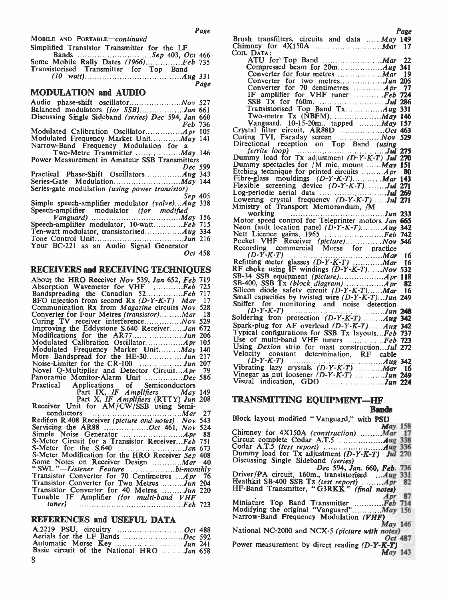MOBILE AND PORTABLE-continued

| Simplified Transistor Transmitter for the LF | Chin           |
|----------------------------------------------|----------------|
| Bands Sep 403, Oct 466                       | $_{\rm{Cont}}$ |
| Some Mobile Rally Dates (1966)Feb 735        |                |
| Transistorised Transmitter for Top Band      |                |
|                                              |                |
| Page                                         |                |

#### MODULATION and AUDIO

| Balanced modulators (for SSB)Jan 661                   |         |               |
|--------------------------------------------------------|---------|---------------|
| Discussing Single Sideband (series) Dec 594, Jan 660   |         |               |
| <b>Feb</b> 736                                         |         |               |
|                                                        |         | Crys          |
| Modulated Frequency Market Unit May 141                |         | Curii         |
|                                                        |         | Dire          |
| Narrow-Band Frequency Modulation for a                 |         |               |
|                                                        |         | Dum           |
| Power Measurement in Amateur SSB Transmitters          |         | Dum           |
|                                                        | Dec 599 | Etch          |
|                                                        |         | Fibr          |
|                                                        |         |               |
| Series-gate modulation <i>(using power transistor)</i> |         | ${\bf F}$ lex |
|                                                        | Sep 405 | Log-          |
| Simple speech-amplifier modulator (valve)Aug 338       |         | Low           |
| Speech-amplifier modulator (for modified               |         | Mini          |
|                                                        |         |               |
| Speech-amplifier modulator, 10-wattFeb 715             |         | Mot           |
|                                                        |         | Neoi          |
|                                                        |         | Nett          |
|                                                        |         | Pock          |
| Your BC-221 as an Audio Signal Generator               |         | Recc          |
|                                                        | Oct 458 |               |

#### RECEIVERS and RECEIVING TECHNIQUES

| About the HRO Receiver Nov 539, Jan 652, Feb 719                             | SB-34          |
|------------------------------------------------------------------------------|----------------|
|                                                                              | <b>SB-400</b>  |
| Absorption Wavemeter for VHF Feb 725<br>Bandspreading the Canadian 52Feb 717 | Silicor        |
| BFO injection from second Rx $(D-Y-K-T)$ Mar 17                              | Small          |
| Communication Rx from <i>Magazine</i> circuits <i>Nov</i> 528                | Sniffer        |
| Converter for Four Metres (transistor)Mar 18                                 | $\overline{L}$ |
| Curing TV receiver interference Nov 529                                      | Solder         |
| Improving the Eddystone S.640 ReceiverJan 672                                | Spark-         |
| Modifications for the AR77Jun 206                                            | Typica         |
|                                                                              | Use o          |
| Modulated Frequency Marker Unit May 140                                      | <b>Using</b>   |
| More Bandspread for the HE-30Jun 217                                         | Veloci         |
| Noise-Limiter for the CR-100 Jun 207                                         | $\iota$        |
| Novel Q-Multiplier and Detector CircuitApr 79                                | Vibrat         |
| Panoramic Monitor-Alarm Unit Dec 586                                         | Vinega         |
| Practical Applications of Semiconductors                                     | Visual         |
| Part IX, IF Amplifiers May 149                                               |                |
| Part X, IF Amplifiers (RTTY) Jun 208                                         | TRAN           |
| Receiver Unit for AM/CW/SSB using Semi-                                      |                |
|                                                                              |                |
| Conductors Mar 27<br>Redifon R.408 Receiver (picture and notes) Nov 543      | Block          |
| Servicing the AR88 Oct 461, Nov 524                                          |                |
| 88                                                                           | Chimn          |
| S-Meter Circuit for a Transistor Receiver Feb 751                            | Circuit        |
|                                                                              | Codar          |
| S-Meter Modification for the HRO Receiver Sep 408                            | Dumm           |
| Some Notes on Receiver Design <i>Mar</i> 40                                  | Discus         |
| "SWL "-Listener Feature bi-monthly                                           |                |
| Transistor Converter for 70 Centimetres  Apr 76                              | Driver         |
| Transistor Converter for Two Metres Jun 204                                  | <b>Heathl</b>  |
| Transistor Converter for 40 Metres Jun 220                                   | $HF-Ba$        |
| Tunable IF Amplifier (for multi-band VHF                                     |                |
| tuner)<br>$Feb$ 723                                                          | Miniat         |
|                                                                              | Modif          |

|                                           | Pow |
|-------------------------------------------|-----|
| Basic circuit of the National HRO Jan 658 |     |
| 8                                         |     |

| Brush transfilters, circuits and data  May 149                                                                                                                                                                                                                                                                                           |    |
|------------------------------------------------------------------------------------------------------------------------------------------------------------------------------------------------------------------------------------------------------------------------------------------------------------------------------------------|----|
|                                                                                                                                                                                                                                                                                                                                          |    |
|                                                                                                                                                                                                                                                                                                                                          |    |
| COIL DATA:                                                                                                                                                                                                                                                                                                                               |    |
|                                                                                                                                                                                                                                                                                                                                          | 22 |
|                                                                                                                                                                                                                                                                                                                                          |    |
|                                                                                                                                                                                                                                                                                                                                          |    |
| Converter for four metres <i>Mar</i> 19                                                                                                                                                                                                                                                                                                  |    |
| Converter for two metresJun 205                                                                                                                                                                                                                                                                                                          |    |
| Converter for 70 centimetres  Apr 77                                                                                                                                                                                                                                                                                                     |    |
| IF amplifier for VHF tuner Feb 724                                                                                                                                                                                                                                                                                                       |    |
|                                                                                                                                                                                                                                                                                                                                          |    |
|                                                                                                                                                                                                                                                                                                                                          |    |
|                                                                                                                                                                                                                                                                                                                                          |    |
|                                                                                                                                                                                                                                                                                                                                          |    |
| Vanguard, 10-15-20m., tapped  May 157                                                                                                                                                                                                                                                                                                    |    |
|                                                                                                                                                                                                                                                                                                                                          |    |
|                                                                                                                                                                                                                                                                                                                                          |    |
|                                                                                                                                                                                                                                                                                                                                          |    |
|                                                                                                                                                                                                                                                                                                                                          |    |
|                                                                                                                                                                                                                                                                                                                                          |    |
| Dummy load for Tx adjustment (D-Y-K-T) Jul 270                                                                                                                                                                                                                                                                                           |    |
|                                                                                                                                                                                                                                                                                                                                          |    |
| Dummy spectacles for /M mic. mount  May 151                                                                                                                                                                                                                                                                                              |    |
|                                                                                                                                                                                                                                                                                                                                          | 80 |
| Fibre-glass mouldings (D-Y-K-T) Mar 143                                                                                                                                                                                                                                                                                                  |    |
|                                                                                                                                                                                                                                                                                                                                          |    |
| Flexible screening device (D-Y-K-T)Jul 271                                                                                                                                                                                                                                                                                               |    |
|                                                                                                                                                                                                                                                                                                                                          |    |
|                                                                                                                                                                                                                                                                                                                                          |    |
| Ministry of Transport Memorandum, /M                                                                                                                                                                                                                                                                                                     |    |
|                                                                                                                                                                                                                                                                                                                                          |    |
| working $\cdots$ $\cdots$ $\cdots$ $\cdots$ $\cdots$ $\cdots$ $\cdots$ $\cdots$ $\cdots$ $\cdots$ $\cdots$ $\cdots$ $\cdots$ $\cdots$ $\cdots$ $\cdots$ $\cdots$ $\cdots$ $\cdots$ $\cdots$ $\cdots$ $\cdots$ $\cdots$ $\cdots$ $\cdots$ $\cdots$ $\cdots$ $\cdots$ $\cdots$ $\cdots$ $\cdots$ $\cdots$ $\cdots$ $\cdots$ $\cdots$ $\cd$ |    |
| Motor speed control for Teleprinter motors Jan 665                                                                                                                                                                                                                                                                                       |    |
| Neon fault location panel (D-Y-K-T)Aug 342                                                                                                                                                                                                                                                                                               |    |
|                                                                                                                                                                                                                                                                                                                                          |    |
|                                                                                                                                                                                                                                                                                                                                          |    |
|                                                                                                                                                                                                                                                                                                                                          |    |
| Nett Licence gains, 1965<br>Pocket VHF Receiver (picture)<br>Recording commercial Morse for practice                                                                                                                                                                                                                                     |    |
| $(D-Y-K-T)$                                                                                                                                                                                                                                                                                                                              | 16 |
| Refitting meter glasses (D-Y-K-T)  Mar                                                                                                                                                                                                                                                                                                   | 16 |
| RF choke using IF windings (D-Y-K-T)Nov 532                                                                                                                                                                                                                                                                                              |    |
|                                                                                                                                                                                                                                                                                                                                          |    |
|                                                                                                                                                                                                                                                                                                                                          |    |
| SB-400, SSB Tx (block diagram) $\ldots$ Apr                                                                                                                                                                                                                                                                                              | 82 |
| Silicon diode safety circuit (D-Y-K-T)Mar                                                                                                                                                                                                                                                                                                | 16 |
|                                                                                                                                                                                                                                                                                                                                          |    |
| Small capacities by twisted wire $(D-Y-K-T)$ . Jun 249                                                                                                                                                                                                                                                                                   |    |
| Sniffer for monitoring and noise detection                                                                                                                                                                                                                                                                                               |    |
| $(D-Y-K-T)$                                                                                                                                                                                                                                                                                                                              |    |
| Soldering iron protection (D-Y-K-T)Aug 342                                                                                                                                                                                                                                                                                               |    |
|                                                                                                                                                                                                                                                                                                                                          |    |
| Spark-plug for AF overload (D-Y-K-T)Aug 342                                                                                                                                                                                                                                                                                              |    |
| Typical configurations for SSB Tx layouts Feb 737                                                                                                                                                                                                                                                                                        |    |
| Use of multi-band VHF tuners Feb 723                                                                                                                                                                                                                                                                                                     |    |
| Using <i>Dexion</i> strip for mast constructionJul 272                                                                                                                                                                                                                                                                                   |    |
|                                                                                                                                                                                                                                                                                                                                          |    |
| Velocity constant determination, RF cable                                                                                                                                                                                                                                                                                                |    |
|                                                                                                                                                                                                                                                                                                                                          |    |
|                                                                                                                                                                                                                                                                                                                                          |    |
|                                                                                                                                                                                                                                                                                                                                          |    |
|                                                                                                                                                                                                                                                                                                                                          |    |
|                                                                                                                                                                                                                                                                                                                                          |    |

### TRANSMITTING EQUIPMENT-HF

### Bands

REFERENCES and USEFUL DATA Narrow-Band Frequency Modulation (VHF) Block layout modified "Vanguard," with PSU Chimney for 4X150A (construction) ........Mar 17 Circuit complete Codar A.T.5 (test report) Aug 338<br>Codar A.T.5 (test report) Augustment (D-Y-K-T) Jul 270<br>Discussing Single Sideband (series) Dec 594, Jan. 660, Feb. 736<br>Driver/PA circuit, 160m., transistorised ...Aug 331<br>Heathkit SB-400 SSB Tx (test report) ........Apr 82<br>HF-Band Transmitter, "G3RKK" (final notes)<br>Miniature Top Band Transmitter ................ National NC-2000 and NCX-5 (picture with notes) Oct 487 Power measurement by direct reading  $(D-Y-K-T)$ May 143

# $Page$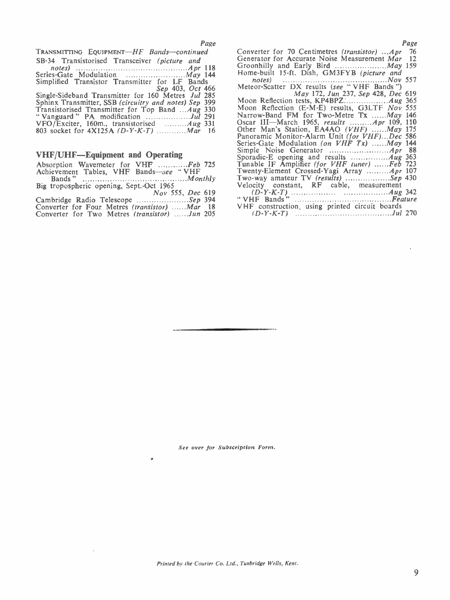| TRANSMITTING EQUIPMENT-HF Bands-continued                  | Cony            |
|------------------------------------------------------------|-----------------|
| SB-34 Transistorised Transceiver (picture and              | Gen6            |
|                                                            | Groc            |
|                                                            | Hom             |
| Simplified Transistor Transmitter for LF Bands             | - 1             |
| Sep 403, Oct 466                                           | Mete            |
| Single-Sideband Transmitter for 160 Metres Jul 285         |                 |
| Sphinx Transmitter, SSB (circuitry and notes) Sep 399      | Moo             |
| Transistorised Transmitter for Top Band  Aug 330           | Moo             |
|                                                            | Narr            |
| VFO/Exciter, 160m., transistorised $\ldots \ldots$ Aug 331 | Osca            |
|                                                            | Othe            |
|                                                            | P <sub>3D</sub> |

# VHF/UHF-Equipment and Operating

| Absorption Wavemeter for VHF Feb 725                 | Tuna       |
|------------------------------------------------------|------------|
| Achievement Tables, VHF Bands-see "VHF               | Twer       |
|                                                      | Two-       |
| Big tropospheric opening, Sept.-Oct 1965             | Velo       |
| Nov 555, Dec 619                                     |            |
| Cambridge Radio Telescope Sep 394                    | $\cdot$ VH |
| Converter for Four Metres <i>(transistor) Mar</i> 18 | <b>VHF</b> |
|                                                      |            |

|  |  | Converter for Four Metres <i>(transistor) Mar</i>    |  | V FI F |
|--|--|------------------------------------------------------|--|--------|
|  |  | Converter for Two Metres <i>(transistor) Jun</i> 205 |  |        |

| Page   | Page                                                  |  |
|--------|-------------------------------------------------------|--|
| .ed    | Converter for 70 Centimetres (transistor) Apr<br>- 76 |  |
|        | Generator for Accurate Noise Measurement Mar 12       |  |
| $-118$ |                                                       |  |
| 144    | Home-built 15-ft. Dish, GM3FYB (picture and           |  |
| ds     |                                                       |  |
| 466    | Meteor-Scatter DX results (see "VHF Bands")           |  |
| $285$  | May 172, Jun 237, Sep 428, Dec 619                    |  |
| 399    |                                                       |  |
| 330    | Moon Reflection (E-M-E) results, G3LTF Nov 555        |  |
| 791    | Narrow-Band FM for Two-Metre Tx May 146               |  |

| Narrow-Band FM for Two-Metre Tx May 146                           |  |
|-------------------------------------------------------------------|--|
| Oscar III—March 1965, results <i>Apr</i> 109, 110                 |  |
| Other Man's Station, EA4AO (VHF) May 175                          |  |
| Panoramic Monitor-Alarm Unit (for VHF)Dec 586                     |  |
| Series-Gate Modulation (on VHF Tx) May 144                        |  |
|                                                                   |  |
| Sporadic-E opening and results $\dots \dots \dots \dots A$ ug 363 |  |
| Tunable IF Amplifier (for VHF tuner) Feb 723                      |  |
| Twenty-Element Crossed-Yagi Array <i>Apr</i> 107                  |  |
| Two-way amateur TV (results) Sep 430                              |  |
| Velocity constant, RF cable, measurement                          |  |
|                                                                   |  |
|                                                                   |  |
| VHF construction, using printed circuit boards                    |  |
|                                                                   |  |
|                                                                   |  |

See over for Subscription Form.